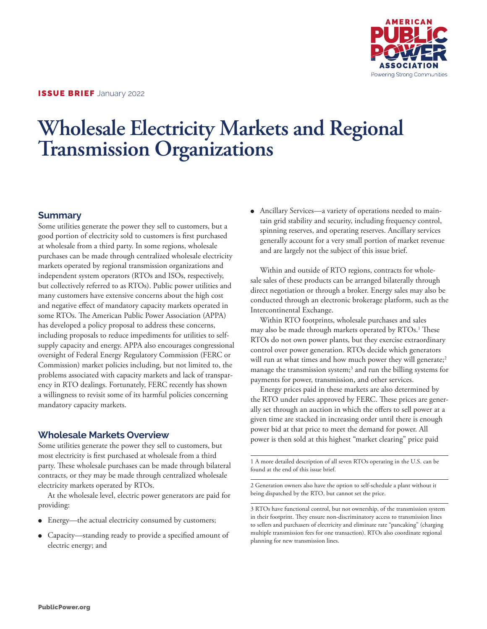

# **Wholesale Electricity Markets and Regional Transmission Organizations**

## **Summary**

Some utilities generate the power they sell to customers, but a good portion of electricity sold to customers is first purchased at wholesale from a third party. In some regions, wholesale purchases can be made through centralized wholesale electricity markets operated by regional transmission organizations and independent system operators (RTOs and ISOs, respectively, but collectively referred to as RTOs). Public power utilities and many customers have extensive concerns about the high cost and negative effect of mandatory capacity markets operated in some RTOs. The American Public Power Association (APPA) has developed a policy proposal to address these concerns, including proposals to reduce impediments for utilities to selfsupply capacity and energy. APPA also encourages congressional oversight of Federal Energy Regulatory Commission (FERC or Commission) market policies including, but not limited to, the problems associated with capacity markets and lack of transparency in RTO dealings. Fortunately, FERC recently has shown a willingness to revisit some of its harmful policies concerning mandatory capacity markets.

## **Wholesale Markets Overview**

Some utilities generate the power they sell to customers, but most electricity is first purchased at wholesale from a third party. These wholesale purchases can be made through bilateral contracts, or they may be made through centralized wholesale electricity markets operated by RTOs.

At the wholesale level, electric power generators are paid for providing:

- Energy—the actual electricity consumed by customers;
- Capacity—standing ready to provide a specified amount of electric energy; and

• Ancillary Services—a variety of operations needed to maintain grid stability and security, including frequency control, spinning reserves, and operating reserves. Ancillary services generally account for a very small portion of market revenue and are largely not the subject of this issue brief.

Within and outside of RTO regions, contracts for wholesale sales of these products can be arranged bilaterally through direct negotiation or through a broker. Energy sales may also be conducted through an electronic brokerage platform, such as the Intercontinental Exchange.

Within RTO footprints, wholesale purchases and sales may also be made through markets operated by RTOs.1 These RTOs do not own power plants, but they exercise extraordinary control over power generation. RTOs decide which generators will run at what times and how much power they will generate;<sup>2</sup> manage the transmission system;3 and run the billing systems for payments for power, transmission, and other services.

Energy prices paid in these markets are also determined by the RTO under rules approved by FERC. These prices are generally set through an auction in which the offers to sell power at a given time are stacked in increasing order until there is enough power bid at that price to meet the demand for power. All power is then sold at this highest "market clearing" price paid

1 A more detailed description of all seven RTOs operating in the U.S. can be found at the end of this issue brief.

2 Generation owners also have the option to self-schedule a plant without it being dispatched by the RTO, but cannot set the price.

3 RTOs have functional control, but not ownership, of the transmission system in their footprint. They ensure non-discriminatory access to transmission lines to sellers and purchasers of electricity and eliminate rate "pancaking" (charging multiple transmission fees for one transaction). RTOs also coordinate regional planning for new transmission lines.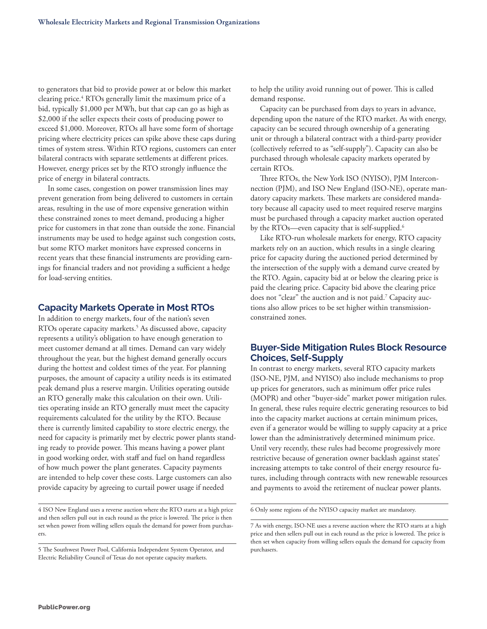to generators that bid to provide power at or below this market clearing price.4 RTOs generally limit the maximum price of a bid, typically \$1,000 per MWh, but that cap can go as high as \$2,000 if the seller expects their costs of producing power to exceed \$1,000. Moreover, RTOs all have some form of shortage pricing where electricity prices can spike above these caps during times of system stress. Within RTO regions, customers can enter bilateral contracts with separate settlements at different prices. However, energy prices set by the RTO strongly influence the price of energy in bilateral contracts.

In some cases, congestion on power transmission lines may prevent generation from being delivered to customers in certain areas, resulting in the use of more expensive generation within these constrained zones to meet demand, producing a higher price for customers in that zone than outside the zone. Financial instruments may be used to hedge against such congestion costs, but some RTO market monitors have expressed concerns in recent years that these financial instruments are providing earnings for financial traders and not providing a sufficient a hedge for load-serving entities.

## **Capacity Markets Operate in Most RTOs**

In addition to energy markets, four of the nation's seven RTOs operate capacity markets.5 As discussed above, capacity represents a utility's obligation to have enough generation to meet customer demand at all times. Demand can vary widely throughout the year, but the highest demand generally occurs during the hottest and coldest times of the year. For planning purposes, the amount of capacity a utility needs is its estimated peak demand plus a reserve margin. Utilities operating outside an RTO generally make this calculation on their own. Utilities operating inside an RTO generally must meet the capacity requirements calculated for the utility by the RTO. Because there is currently limited capability to store electric energy, the need for capacity is primarily met by electric power plants standing ready to provide power. This means having a power plant in good working order, with staff and fuel on hand regardless of how much power the plant generates. Capacity payments are intended to help cover these costs. Large customers can also provide capacity by agreeing to curtail power usage if needed

4 ISO New England uses a reverse auction where the RTO starts at a high price and then sellers pull out in each round as the price is lowered. The price is then set when power from willing sellers equals the demand for power from purchasers.

5 The Southwest Power Pool, California Independent System Operator, and Electric Reliability Council of Texas do not operate capacity markets.

to help the utility avoid running out of power. This is called demand response.

Capacity can be purchased from days to years in advance, depending upon the nature of the RTO market. As with energy, capacity can be secured through ownership of a generating unit or through a bilateral contract with a third-party provider (collectively referred to as "self-supply"). Capacity can also be purchased through wholesale capacity markets operated by certain RTOs.

Three RTOs, the New York ISO (NYISO), PJM Interconnection (PJM), and ISO New England (ISO-NE), operate mandatory capacity markets. These markets are considered mandatory because all capacity used to meet required reserve margins must be purchased through a capacity market auction operated by the RTOs—even capacity that is self-supplied.<sup>6</sup>

Like RTO-run wholesale markets for energy, RTO capacity markets rely on an auction, which results in a single clearing price for capacity during the auctioned period determined by the intersection of the supply with a demand curve created by the RTO. Again, capacity bid at or below the clearing price is paid the clearing price. Capacity bid above the clearing price does not "clear" the auction and is not paid.7 Capacity auctions also allow prices to be set higher within transmissionconstrained zones.

## **Buyer-Side Mitigation Rules Block Resource Choices, Self-Supply**

In contrast to energy markets, several RTO capacity markets (ISO-NE, PJM, and NYISO) also include mechanisms to prop up prices for generators, such as minimum offer price rules (MOPR) and other "buyer-side" market power mitigation rules. In general, these rules require electric generating resources to bid into the capacity market auctions at certain minimum prices, even if a generator would be willing to supply capacity at a price lower than the administratively determined minimum price. Until very recently, these rules had become progressively more restrictive because of generation owner backlash against states' increasing attempts to take control of their energy resource futures, including through contracts with new renewable resources and payments to avoid the retirement of nuclear power plants.

6 Only some regions of the NYISO capacity market are mandatory.

<sup>7</sup> As with energy, ISO-NE uses a reverse auction where the RTO starts at a high price and then sellers pull out in each round as the price is lowered. The price is then set when capacity from willing sellers equals the demand for capacity from purchasers.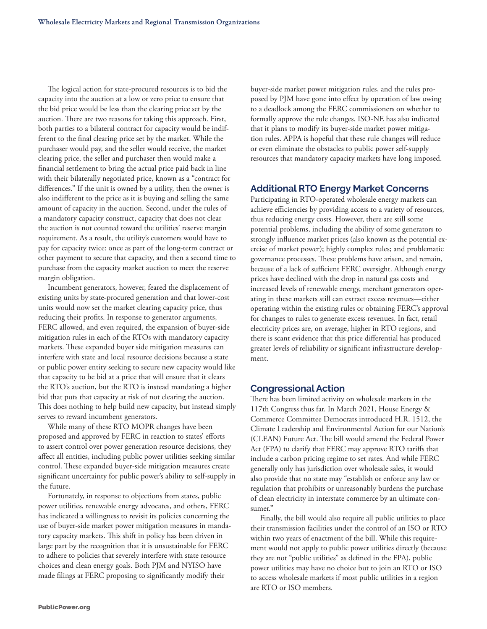The logical action for state-procured resources is to bid the capacity into the auction at a low or zero price to ensure that the bid price would be less than the clearing price set by the auction. There are two reasons for taking this approach. First, both parties to a bilateral contract for capacity would be indifferent to the final clearing price set by the market. While the purchaser would pay, and the seller would receive, the market clearing price, the seller and purchaser then would make a financial settlement to bring the actual price paid back in line with their bilaterally negotiated price, known as a "contract for differences." If the unit is owned by a utility, then the owner is also indifferent to the price as it is buying and selling the same amount of capacity in the auction. Second, under the rules of a mandatory capacity construct, capacity that does not clear the auction is not counted toward the utilities' reserve margin requirement. As a result, the utility's customers would have to pay for capacity twice: once as part of the long-term contract or other payment to secure that capacity, and then a second time to purchase from the capacity market auction to meet the reserve margin obligation.

Incumbent generators, however, feared the displacement of existing units by state-procured generation and that lower-cost units would now set the market clearing capacity price, thus reducing their profits. In response to generator arguments, FERC allowed, and even required, the expansion of buyer-side mitigation rules in each of the RTOs with mandatory capacity markets. These expanded buyer side mitigation measures can interfere with state and local resource decisions because a state or public power entity seeking to secure new capacity would like that capacity to be bid at a price that will ensure that it clears the RTO's auction, but the RTO is instead mandating a higher bid that puts that capacity at risk of not clearing the auction. This does nothing to help build new capacity, but instead simply serves to reward incumbent generators.

While many of these RTO MOPR changes have been proposed and approved by FERC in reaction to states' efforts to assert control over power generation resource decisions, they affect all entities, including public power utilities seeking similar control. These expanded buyer-side mitigation measures create significant uncertainty for public power's ability to self-supply in the future.

Fortunately, in response to objections from states, public power utilities, renewable energy advocates, and others, FERC has indicated a willingness to revisit its policies concerning the use of buyer-side market power mitigation measures in mandatory capacity markets. This shift in policy has been driven in large part by the recognition that it is unsustainable for FERC to adhere to policies that severely interfere with state resource choices and clean energy goals. Both PJM and NYISO have made filings at FERC proposing to significantly modify their

buyer-side market power mitigation rules, and the rules proposed by PJM have gone into effect by operation of law owing to a deadlock among the FERC commissioners on whether to formally approve the rule changes. ISO-NE has also indicated that it plans to modify its buyer-side market power mitigation rules. APPA is hopeful that these rule changes will reduce or even eliminate the obstacles to public power self-supply resources that mandatory capacity markets have long imposed.

#### **Additional RTO Energy Market Concerns**

Participating in RTO-operated wholesale energy markets can achieve efficiencies by providing access to a variety of resources, thus reducing energy costs. However, there are still some potential problems, including the ability of some generators to strongly influence market prices (also known as the potential exercise of market power); highly complex rules; and problematic governance processes. These problems have arisen, and remain, because of a lack of sufficient FERC oversight. Although energy prices have declined with the drop in natural gas costs and increased levels of renewable energy, merchant generators operating in these markets still can extract excess revenues—either operating within the existing rules or obtaining FERC's approval for changes to rules to generate excess revenues. In fact, retail electricity prices are, on average, higher in RTO regions, and there is scant evidence that this price differential has produced greater levels of reliability or significant infrastructure development.

### **Congressional Action**

There has been limited activity on wholesale markets in the 117th Congress thus far. In March 2021, House Energy & Commerce Committee Democrats introduced H.R. 1512, the Climate Leadership and Environmental Action for our Nation's (CLEAN) Future Act. The bill would amend the Federal Power Act (FPA) to clarify that FERC may approve RTO tariffs that include a carbon pricing regime to set rates. And while FERC generally only has jurisdiction over wholesale sales, it would also provide that no state may "establish or enforce any law or regulation that prohibits or unreasonably burdens the purchase of clean electricity in interstate commerce by an ultimate consumer."

Finally, the bill would also require all public utilities to place their transmission facilities under the control of an ISO or RTO within two years of enactment of the bill. While this requirement would not apply to public power utilities directly (because they are not "public utilities" as defined in the FPA), public power utilities may have no choice but to join an RTO or ISO to access wholesale markets if most public utilities in a region are RTO or ISO members.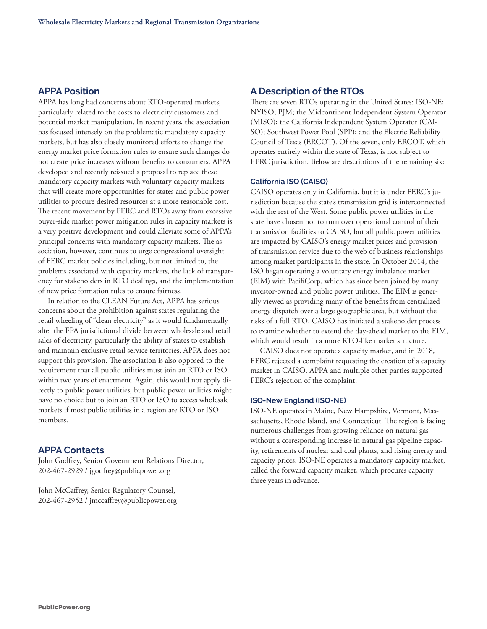# **APPA Position**

APPA has long had concerns about RTO-operated markets, particularly related to the costs to electricity customers and potential market manipulation. In recent years, the association has focused intensely on the problematic mandatory capacity markets, but has also closely monitored efforts to change the energy market price formation rules to ensure such changes do not create price increases without benefits to consumers. APPA developed and recently reissued a proposal to replace these mandatory capacity markets with voluntary capacity markets that will create more opportunities for states and public power utilities to procure desired resources at a more reasonable cost. The recent movement by FERC and RTOs away from excessive buyer-side market power mitigation rules in capacity markets is a very positive development and could alleviate some of APPA's principal concerns with mandatory capacity markets. The association, however, continues to urge congressional oversight of FERC market policies including, but not limited to, the problems associated with capacity markets, the lack of transparency for stakeholders in RTO dealings, and the implementation of new price formation rules to ensure fairness.

In relation to the CLEAN Future Act, APPA has serious concerns about the prohibition against states regulating the retail wheeling of "clean electricity" as it would fundamentally alter the FPA jurisdictional divide between wholesale and retail sales of electricity, particularly the ability of states to establish and maintain exclusive retail service territories. APPA does not support this provision. The association is also opposed to the requirement that all public utilities must join an RTO or ISO within two years of enactment. Again, this would not apply directly to public power utilities, but public power utilities might have no choice but to join an RTO or ISO to access wholesale markets if most public utilities in a region are RTO or ISO members.

## **APPA Contacts**

John Godfrey, Senior Government Relations Director, 202-467-2929 / jgodfrey@publicpower.org

John McCaffrey, Senior Regulatory Counsel, 202-467-2952 / jmccaffrey@publicpower.org

## **A Description of the RTOs**

There are seven RTOs operating in the United States: ISO-NE; NYISO; PJM; the Midcontinent Independent System Operator (MISO); the California Independent System Operator (CAI-SO); Southwest Power Pool (SPP); and the Electric Reliability Council of Texas (ERCOT). Of the seven, only ERCOT, which operates entirely within the state of Texas, is not subject to FERC jurisdiction. Below are descriptions of the remaining six:

#### **California ISO (CAISO)**

CAISO operates only in California, but it is under FERC's jurisdiction because the state's transmission grid is interconnected with the rest of the West. Some public power utilities in the state have chosen not to turn over operational control of their transmission facilities to CAISO, but all public power utilities are impacted by CAISO's energy market prices and provision of transmission service due to the web of business relationships among market participants in the state. In October 2014, the ISO began operating a voluntary energy imbalance market (EIM) with PacifiCorp, which has since been joined by many investor-owned and public power utilities. The EIM is generally viewed as providing many of the benefits from centralized energy dispatch over a large geographic area, but without the risks of a full RTO. CAISO has initiated a stakeholder process to examine whether to extend the day-ahead market to the EIM, which would result in a more RTO-like market structure.

CAISO does not operate a capacity market, and in 2018, FERC rejected a complaint requesting the creation of a capacity market in CAISO. APPA and multiple other parties supported FERC's rejection of the complaint.

#### **ISO-New England (ISO-NE)**

ISO-NE operates in Maine, New Hampshire, Vermont, Massachusetts, Rhode Island, and Connecticut. The region is facing numerous challenges from growing reliance on natural gas without a corresponding increase in natural gas pipeline capacity, retirements of nuclear and coal plants, and rising energy and capacity prices. ISO-NE operates a mandatory capacity market, called the forward capacity market, which procures capacity three years in advance.